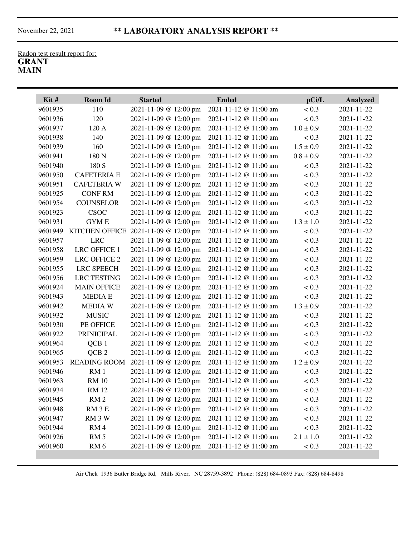Radon test result report for: **GRANT MAIN**

| 110<br>2021-11-09 @ 12:00 pm<br>2021-11-12 @ 11:00 am<br>< 0.3<br>9601935<br>2021-11-22<br>120<br>2021-11-09 @ 12:00 pm<br>2021-11-12 @ 11:00 am<br>< 0.3<br>2021-11-22<br>9601936<br>2021-11-09 @ 12:00 pm<br>2021-11-12 @ 11:00 am<br>$1.0 \pm 0.9$<br>2021-11-22<br>9601937<br>120 A<br>140<br>2021-11-09 @ 12:00 pm<br>2021-11-12 @ 11:00 am<br>2021-11-22<br>9601938<br>< 0.3<br>160<br>2021-11-09 @ 12:00 pm<br>2021-11-12 @ 11:00 am<br>$1.5 \pm 0.9$<br>2021-11-22<br>9601939<br>180 N<br>2021-11-09 @ 12:00 pm<br>2021-11-12 @ 11:00 am<br>$0.8 \pm 0.9$<br>2021-11-22<br>9601941<br>180 S<br>9601940<br>2021-11-09 @ 12:00 pm<br>2021-11-12 @ 11:00 am<br>< 0.3<br>2021-11-22<br>2021-11-09 @ 12:00 pm<br>2021-11-12 @ 11:00 am<br>< 0.3<br>2021-11-22<br>9601950<br><b>CAFETERIA E</b><br><b>CAFETERIA W</b><br>2021-11-09 @ 12:00 pm<br>2021-11-12 @ 11:00 am<br>< 0.3<br>2021-11-22<br>9601951<br><b>CONFRM</b><br>2021-11-09 @ 12:00 pm<br>2021-11-12 @ 11:00 am<br>< 0.3<br>2021-11-22<br>9601925<br><b>COUNSELOR</b><br>2021-11-09 @ 12:00 pm<br>2021-11-12 @ 11:00 am<br>< 0.3<br>2021-11-22<br>9601954<br>CSOC<br>2021-11-09 @ 12:00 pm<br>2021-11-12 @ 11:00 am<br>< 0.3<br>2021-11-22<br>9601923<br><b>GYME</b><br>2021-11-09 @ 12:00 pm<br>2021-11-12 @ 11:00 am<br>$1.3 \pm 1.0$<br>2021-11-22<br>9601931<br>9601949<br><b>KITCHEN OFFICE</b><br>2021-11-09 @ 12:00 pm<br>2021-11-12 @ 11:00 am<br>< 0.3<br>2021-11-22<br><b>LRC</b><br>2021-11-09 @ 12:00 pm<br>2021-11-12 @ 11:00 am<br>< 0.3<br>2021-11-22<br>9601957<br><b>LRC OFFICE 1</b><br>2021-11-09 @ 12:00 pm<br>2021-11-12 @ 11:00 am<br>< 0.3<br>2021-11-22<br>9601958<br>9601959<br><b>LRC OFFICE 2</b><br>2021-11-09 @ 12:00 pm<br>2021-11-12 @ 11:00 am<br>< 0.3<br>2021-11-22<br><b>LRC SPEECH</b><br>9601955<br>2021-11-09 @ 12:00 pm<br>2021-11-12 @ 11:00 am<br>< 0.3<br>2021-11-22<br><b>LRC TESTING</b><br>2021-11-09 @ 12:00 pm<br>2021-11-12 @ 11:00 am<br>< 0.3<br>2021-11-22<br>9601956<br><b>MAIN OFFICE</b><br>2021-11-09 @ 12:00 pm<br>2021-11-12 @ 11:00 am<br>< 0.3<br>2021-11-22<br>9601924<br><b>MEDIA E</b><br>2021-11-09 @ 12:00 pm<br>2021-11-12 @ 11:00 am<br>< 0.3<br>2021-11-22<br>9601943<br><b>MEDIAW</b><br>2021-11-09 @ 12:00 pm<br>2021-11-12 @ 11:00 am<br>$1.3 \pm 0.9$<br>2021-11-22<br>9601942<br><b>MUSIC</b><br>2021-11-09 @ 12:00 pm<br>2021-11-12 @ 11:00 am<br>< 0.3<br>2021-11-22<br>9601932<br>< 0.3<br>2021-11-22<br>9601930<br>PE OFFICE<br>2021-11-09 @ 12:00 pm<br>2021-11-12 @ 11:00 am<br>9601922<br><b>PRINICIPAL</b><br>2021-11-09 @ 12:00 pm<br>2021-11-12 @ 11:00 am<br>< 0.3<br>2021-11-22<br>9601964<br>QCB <sub>1</sub><br>2021-11-09 @ 12:00 pm<br>2021-11-12 @ 11:00 am<br>< 0.3<br>2021-11-22<br>QCB <sub>2</sub><br>< 0.3<br>9601965<br>2021-11-09 @ 12:00 pm<br>2021-11-12 @ 11:00 am<br>2021-11-22<br><b>READING ROOM</b><br>2021-11-12 @ 11:00 am<br>$1.2 \pm 0.9$<br>2021-11-22<br>9601953<br>2021-11-09 @ 12:00 pm<br>RM <sub>1</sub><br>2021-11-12 @ 11:00 am<br>2021-11-22<br>9601946<br>2021-11-09 @ 12:00 pm<br>< 0.3<br>9601963<br><b>RM</b> 10<br>2021-11-09 @ 12:00 pm<br>2021-11-12 @ 11:00 am<br>< 0.3<br>2021-11-22<br>2021-11-12 @ 11:00 am<br>2021-11-22<br>2021-11-09 @ 12:00 pm<br>< 0.3<br>9601934<br><b>RM12</b><br>2021-11-09 @ 12:00 pm<br>2021-11-12 @ 11:00 am<br>< 0.3<br>9601945<br>RM <sub>2</sub><br>2021-11-22<br>2021-11-09 @ 12:00 pm<br>2021-11-12 @ 11:00 am<br>< 0.3<br>9601948<br>RM 3 E<br>2021-11-22<br>2021-11-09 @ 12:00 pm<br>2021-11-12 @ 11:00 am<br>< 0.3<br>RM 3 W<br>2021-11-22<br>9601947<br>2021-11-09 @ 12:00 pm<br>2021-11-12 @ 11:00 am<br>< 0.3<br>9601944<br>RM4<br>2021-11-22<br>RM <sub>5</sub><br>2021-11-09 @ 12:00 pm<br>$2.1 \pm 1.0$<br>9601926<br>2021-11-12 @ 11:00 am<br>2021-11-22<br>2021-11-09 @ 12:00 pm<br>9601960<br>2021-11-12 @ 11:00 am<br>< 0.3<br>RM <sub>6</sub><br>2021-11-22 | Kit# | Room Id | <b>Started</b> | <b>Ended</b> | pCi/L | <b>Analyzed</b> |
|---------------------------------------------------------------------------------------------------------------------------------------------------------------------------------------------------------------------------------------------------------------------------------------------------------------------------------------------------------------------------------------------------------------------------------------------------------------------------------------------------------------------------------------------------------------------------------------------------------------------------------------------------------------------------------------------------------------------------------------------------------------------------------------------------------------------------------------------------------------------------------------------------------------------------------------------------------------------------------------------------------------------------------------------------------------------------------------------------------------------------------------------------------------------------------------------------------------------------------------------------------------------------------------------------------------------------------------------------------------------------------------------------------------------------------------------------------------------------------------------------------------------------------------------------------------------------------------------------------------------------------------------------------------------------------------------------------------------------------------------------------------------------------------------------------------------------------------------------------------------------------------------------------------------------------------------------------------------------------------------------------------------------------------------------------------------------------------------------------------------------------------------------------------------------------------------------------------------------------------------------------------------------------------------------------------------------------------------------------------------------------------------------------------------------------------------------------------------------------------------------------------------------------------------------------------------------------------------------------------------------------------------------------------------------------------------------------------------------------------------------------------------------------------------------------------------------------------------------------------------------------------------------------------------------------------------------------------------------------------------------------------------------------------------------------------------------------------------------------------------------------------------------------------------------------------------------------------------------------------------------------------------------------------------------------------------------------------------------------------------------------------------------------------------------------------------------------------------------------------------------------------------------------------------------------------------------------------------------------------------------------------------------------------------------------------------------------------------------------------------------------------------------------------------------------------------------------------------------------------------------------------------------------|------|---------|----------------|--------------|-------|-----------------|
|                                                                                                                                                                                                                                                                                                                                                                                                                                                                                                                                                                                                                                                                                                                                                                                                                                                                                                                                                                                                                                                                                                                                                                                                                                                                                                                                                                                                                                                                                                                                                                                                                                                                                                                                                                                                                                                                                                                                                                                                                                                                                                                                                                                                                                                                                                                                                                                                                                                                                                                                                                                                                                                                                                                                                                                                                                                                                                                                                                                                                                                                                                                                                                                                                                                                                                                                                                                                                                                                                                                                                                                                                                                                                                                                                                                                                                                                                                         |      |         |                |              |       |                 |
|                                                                                                                                                                                                                                                                                                                                                                                                                                                                                                                                                                                                                                                                                                                                                                                                                                                                                                                                                                                                                                                                                                                                                                                                                                                                                                                                                                                                                                                                                                                                                                                                                                                                                                                                                                                                                                                                                                                                                                                                                                                                                                                                                                                                                                                                                                                                                                                                                                                                                                                                                                                                                                                                                                                                                                                                                                                                                                                                                                                                                                                                                                                                                                                                                                                                                                                                                                                                                                                                                                                                                                                                                                                                                                                                                                                                                                                                                                         |      |         |                |              |       |                 |
|                                                                                                                                                                                                                                                                                                                                                                                                                                                                                                                                                                                                                                                                                                                                                                                                                                                                                                                                                                                                                                                                                                                                                                                                                                                                                                                                                                                                                                                                                                                                                                                                                                                                                                                                                                                                                                                                                                                                                                                                                                                                                                                                                                                                                                                                                                                                                                                                                                                                                                                                                                                                                                                                                                                                                                                                                                                                                                                                                                                                                                                                                                                                                                                                                                                                                                                                                                                                                                                                                                                                                                                                                                                                                                                                                                                                                                                                                                         |      |         |                |              |       |                 |
|                                                                                                                                                                                                                                                                                                                                                                                                                                                                                                                                                                                                                                                                                                                                                                                                                                                                                                                                                                                                                                                                                                                                                                                                                                                                                                                                                                                                                                                                                                                                                                                                                                                                                                                                                                                                                                                                                                                                                                                                                                                                                                                                                                                                                                                                                                                                                                                                                                                                                                                                                                                                                                                                                                                                                                                                                                                                                                                                                                                                                                                                                                                                                                                                                                                                                                                                                                                                                                                                                                                                                                                                                                                                                                                                                                                                                                                                                                         |      |         |                |              |       |                 |
|                                                                                                                                                                                                                                                                                                                                                                                                                                                                                                                                                                                                                                                                                                                                                                                                                                                                                                                                                                                                                                                                                                                                                                                                                                                                                                                                                                                                                                                                                                                                                                                                                                                                                                                                                                                                                                                                                                                                                                                                                                                                                                                                                                                                                                                                                                                                                                                                                                                                                                                                                                                                                                                                                                                                                                                                                                                                                                                                                                                                                                                                                                                                                                                                                                                                                                                                                                                                                                                                                                                                                                                                                                                                                                                                                                                                                                                                                                         |      |         |                |              |       |                 |
|                                                                                                                                                                                                                                                                                                                                                                                                                                                                                                                                                                                                                                                                                                                                                                                                                                                                                                                                                                                                                                                                                                                                                                                                                                                                                                                                                                                                                                                                                                                                                                                                                                                                                                                                                                                                                                                                                                                                                                                                                                                                                                                                                                                                                                                                                                                                                                                                                                                                                                                                                                                                                                                                                                                                                                                                                                                                                                                                                                                                                                                                                                                                                                                                                                                                                                                                                                                                                                                                                                                                                                                                                                                                                                                                                                                                                                                                                                         |      |         |                |              |       |                 |
|                                                                                                                                                                                                                                                                                                                                                                                                                                                                                                                                                                                                                                                                                                                                                                                                                                                                                                                                                                                                                                                                                                                                                                                                                                                                                                                                                                                                                                                                                                                                                                                                                                                                                                                                                                                                                                                                                                                                                                                                                                                                                                                                                                                                                                                                                                                                                                                                                                                                                                                                                                                                                                                                                                                                                                                                                                                                                                                                                                                                                                                                                                                                                                                                                                                                                                                                                                                                                                                                                                                                                                                                                                                                                                                                                                                                                                                                                                         |      |         |                |              |       |                 |
|                                                                                                                                                                                                                                                                                                                                                                                                                                                                                                                                                                                                                                                                                                                                                                                                                                                                                                                                                                                                                                                                                                                                                                                                                                                                                                                                                                                                                                                                                                                                                                                                                                                                                                                                                                                                                                                                                                                                                                                                                                                                                                                                                                                                                                                                                                                                                                                                                                                                                                                                                                                                                                                                                                                                                                                                                                                                                                                                                                                                                                                                                                                                                                                                                                                                                                                                                                                                                                                                                                                                                                                                                                                                                                                                                                                                                                                                                                         |      |         |                |              |       |                 |
|                                                                                                                                                                                                                                                                                                                                                                                                                                                                                                                                                                                                                                                                                                                                                                                                                                                                                                                                                                                                                                                                                                                                                                                                                                                                                                                                                                                                                                                                                                                                                                                                                                                                                                                                                                                                                                                                                                                                                                                                                                                                                                                                                                                                                                                                                                                                                                                                                                                                                                                                                                                                                                                                                                                                                                                                                                                                                                                                                                                                                                                                                                                                                                                                                                                                                                                                                                                                                                                                                                                                                                                                                                                                                                                                                                                                                                                                                                         |      |         |                |              |       |                 |
|                                                                                                                                                                                                                                                                                                                                                                                                                                                                                                                                                                                                                                                                                                                                                                                                                                                                                                                                                                                                                                                                                                                                                                                                                                                                                                                                                                                                                                                                                                                                                                                                                                                                                                                                                                                                                                                                                                                                                                                                                                                                                                                                                                                                                                                                                                                                                                                                                                                                                                                                                                                                                                                                                                                                                                                                                                                                                                                                                                                                                                                                                                                                                                                                                                                                                                                                                                                                                                                                                                                                                                                                                                                                                                                                                                                                                                                                                                         |      |         |                |              |       |                 |
|                                                                                                                                                                                                                                                                                                                                                                                                                                                                                                                                                                                                                                                                                                                                                                                                                                                                                                                                                                                                                                                                                                                                                                                                                                                                                                                                                                                                                                                                                                                                                                                                                                                                                                                                                                                                                                                                                                                                                                                                                                                                                                                                                                                                                                                                                                                                                                                                                                                                                                                                                                                                                                                                                                                                                                                                                                                                                                                                                                                                                                                                                                                                                                                                                                                                                                                                                                                                                                                                                                                                                                                                                                                                                                                                                                                                                                                                                                         |      |         |                |              |       |                 |
|                                                                                                                                                                                                                                                                                                                                                                                                                                                                                                                                                                                                                                                                                                                                                                                                                                                                                                                                                                                                                                                                                                                                                                                                                                                                                                                                                                                                                                                                                                                                                                                                                                                                                                                                                                                                                                                                                                                                                                                                                                                                                                                                                                                                                                                                                                                                                                                                                                                                                                                                                                                                                                                                                                                                                                                                                                                                                                                                                                                                                                                                                                                                                                                                                                                                                                                                                                                                                                                                                                                                                                                                                                                                                                                                                                                                                                                                                                         |      |         |                |              |       |                 |
|                                                                                                                                                                                                                                                                                                                                                                                                                                                                                                                                                                                                                                                                                                                                                                                                                                                                                                                                                                                                                                                                                                                                                                                                                                                                                                                                                                                                                                                                                                                                                                                                                                                                                                                                                                                                                                                                                                                                                                                                                                                                                                                                                                                                                                                                                                                                                                                                                                                                                                                                                                                                                                                                                                                                                                                                                                                                                                                                                                                                                                                                                                                                                                                                                                                                                                                                                                                                                                                                                                                                                                                                                                                                                                                                                                                                                                                                                                         |      |         |                |              |       |                 |
|                                                                                                                                                                                                                                                                                                                                                                                                                                                                                                                                                                                                                                                                                                                                                                                                                                                                                                                                                                                                                                                                                                                                                                                                                                                                                                                                                                                                                                                                                                                                                                                                                                                                                                                                                                                                                                                                                                                                                                                                                                                                                                                                                                                                                                                                                                                                                                                                                                                                                                                                                                                                                                                                                                                                                                                                                                                                                                                                                                                                                                                                                                                                                                                                                                                                                                                                                                                                                                                                                                                                                                                                                                                                                                                                                                                                                                                                                                         |      |         |                |              |       |                 |
|                                                                                                                                                                                                                                                                                                                                                                                                                                                                                                                                                                                                                                                                                                                                                                                                                                                                                                                                                                                                                                                                                                                                                                                                                                                                                                                                                                                                                                                                                                                                                                                                                                                                                                                                                                                                                                                                                                                                                                                                                                                                                                                                                                                                                                                                                                                                                                                                                                                                                                                                                                                                                                                                                                                                                                                                                                                                                                                                                                                                                                                                                                                                                                                                                                                                                                                                                                                                                                                                                                                                                                                                                                                                                                                                                                                                                                                                                                         |      |         |                |              |       |                 |
|                                                                                                                                                                                                                                                                                                                                                                                                                                                                                                                                                                                                                                                                                                                                                                                                                                                                                                                                                                                                                                                                                                                                                                                                                                                                                                                                                                                                                                                                                                                                                                                                                                                                                                                                                                                                                                                                                                                                                                                                                                                                                                                                                                                                                                                                                                                                                                                                                                                                                                                                                                                                                                                                                                                                                                                                                                                                                                                                                                                                                                                                                                                                                                                                                                                                                                                                                                                                                                                                                                                                                                                                                                                                                                                                                                                                                                                                                                         |      |         |                |              |       |                 |
|                                                                                                                                                                                                                                                                                                                                                                                                                                                                                                                                                                                                                                                                                                                                                                                                                                                                                                                                                                                                                                                                                                                                                                                                                                                                                                                                                                                                                                                                                                                                                                                                                                                                                                                                                                                                                                                                                                                                                                                                                                                                                                                                                                                                                                                                                                                                                                                                                                                                                                                                                                                                                                                                                                                                                                                                                                                                                                                                                                                                                                                                                                                                                                                                                                                                                                                                                                                                                                                                                                                                                                                                                                                                                                                                                                                                                                                                                                         |      |         |                |              |       |                 |
|                                                                                                                                                                                                                                                                                                                                                                                                                                                                                                                                                                                                                                                                                                                                                                                                                                                                                                                                                                                                                                                                                                                                                                                                                                                                                                                                                                                                                                                                                                                                                                                                                                                                                                                                                                                                                                                                                                                                                                                                                                                                                                                                                                                                                                                                                                                                                                                                                                                                                                                                                                                                                                                                                                                                                                                                                                                                                                                                                                                                                                                                                                                                                                                                                                                                                                                                                                                                                                                                                                                                                                                                                                                                                                                                                                                                                                                                                                         |      |         |                |              |       |                 |
|                                                                                                                                                                                                                                                                                                                                                                                                                                                                                                                                                                                                                                                                                                                                                                                                                                                                                                                                                                                                                                                                                                                                                                                                                                                                                                                                                                                                                                                                                                                                                                                                                                                                                                                                                                                                                                                                                                                                                                                                                                                                                                                                                                                                                                                                                                                                                                                                                                                                                                                                                                                                                                                                                                                                                                                                                                                                                                                                                                                                                                                                                                                                                                                                                                                                                                                                                                                                                                                                                                                                                                                                                                                                                                                                                                                                                                                                                                         |      |         |                |              |       |                 |
|                                                                                                                                                                                                                                                                                                                                                                                                                                                                                                                                                                                                                                                                                                                                                                                                                                                                                                                                                                                                                                                                                                                                                                                                                                                                                                                                                                                                                                                                                                                                                                                                                                                                                                                                                                                                                                                                                                                                                                                                                                                                                                                                                                                                                                                                                                                                                                                                                                                                                                                                                                                                                                                                                                                                                                                                                                                                                                                                                                                                                                                                                                                                                                                                                                                                                                                                                                                                                                                                                                                                                                                                                                                                                                                                                                                                                                                                                                         |      |         |                |              |       |                 |
|                                                                                                                                                                                                                                                                                                                                                                                                                                                                                                                                                                                                                                                                                                                                                                                                                                                                                                                                                                                                                                                                                                                                                                                                                                                                                                                                                                                                                                                                                                                                                                                                                                                                                                                                                                                                                                                                                                                                                                                                                                                                                                                                                                                                                                                                                                                                                                                                                                                                                                                                                                                                                                                                                                                                                                                                                                                                                                                                                                                                                                                                                                                                                                                                                                                                                                                                                                                                                                                                                                                                                                                                                                                                                                                                                                                                                                                                                                         |      |         |                |              |       |                 |
|                                                                                                                                                                                                                                                                                                                                                                                                                                                                                                                                                                                                                                                                                                                                                                                                                                                                                                                                                                                                                                                                                                                                                                                                                                                                                                                                                                                                                                                                                                                                                                                                                                                                                                                                                                                                                                                                                                                                                                                                                                                                                                                                                                                                                                                                                                                                                                                                                                                                                                                                                                                                                                                                                                                                                                                                                                                                                                                                                                                                                                                                                                                                                                                                                                                                                                                                                                                                                                                                                                                                                                                                                                                                                                                                                                                                                                                                                                         |      |         |                |              |       |                 |
|                                                                                                                                                                                                                                                                                                                                                                                                                                                                                                                                                                                                                                                                                                                                                                                                                                                                                                                                                                                                                                                                                                                                                                                                                                                                                                                                                                                                                                                                                                                                                                                                                                                                                                                                                                                                                                                                                                                                                                                                                                                                                                                                                                                                                                                                                                                                                                                                                                                                                                                                                                                                                                                                                                                                                                                                                                                                                                                                                                                                                                                                                                                                                                                                                                                                                                                                                                                                                                                                                                                                                                                                                                                                                                                                                                                                                                                                                                         |      |         |                |              |       |                 |
|                                                                                                                                                                                                                                                                                                                                                                                                                                                                                                                                                                                                                                                                                                                                                                                                                                                                                                                                                                                                                                                                                                                                                                                                                                                                                                                                                                                                                                                                                                                                                                                                                                                                                                                                                                                                                                                                                                                                                                                                                                                                                                                                                                                                                                                                                                                                                                                                                                                                                                                                                                                                                                                                                                                                                                                                                                                                                                                                                                                                                                                                                                                                                                                                                                                                                                                                                                                                                                                                                                                                                                                                                                                                                                                                                                                                                                                                                                         |      |         |                |              |       |                 |
|                                                                                                                                                                                                                                                                                                                                                                                                                                                                                                                                                                                                                                                                                                                                                                                                                                                                                                                                                                                                                                                                                                                                                                                                                                                                                                                                                                                                                                                                                                                                                                                                                                                                                                                                                                                                                                                                                                                                                                                                                                                                                                                                                                                                                                                                                                                                                                                                                                                                                                                                                                                                                                                                                                                                                                                                                                                                                                                                                                                                                                                                                                                                                                                                                                                                                                                                                                                                                                                                                                                                                                                                                                                                                                                                                                                                                                                                                                         |      |         |                |              |       |                 |
|                                                                                                                                                                                                                                                                                                                                                                                                                                                                                                                                                                                                                                                                                                                                                                                                                                                                                                                                                                                                                                                                                                                                                                                                                                                                                                                                                                                                                                                                                                                                                                                                                                                                                                                                                                                                                                                                                                                                                                                                                                                                                                                                                                                                                                                                                                                                                                                                                                                                                                                                                                                                                                                                                                                                                                                                                                                                                                                                                                                                                                                                                                                                                                                                                                                                                                                                                                                                                                                                                                                                                                                                                                                                                                                                                                                                                                                                                                         |      |         |                |              |       |                 |
|                                                                                                                                                                                                                                                                                                                                                                                                                                                                                                                                                                                                                                                                                                                                                                                                                                                                                                                                                                                                                                                                                                                                                                                                                                                                                                                                                                                                                                                                                                                                                                                                                                                                                                                                                                                                                                                                                                                                                                                                                                                                                                                                                                                                                                                                                                                                                                                                                                                                                                                                                                                                                                                                                                                                                                                                                                                                                                                                                                                                                                                                                                                                                                                                                                                                                                                                                                                                                                                                                                                                                                                                                                                                                                                                                                                                                                                                                                         |      |         |                |              |       |                 |
|                                                                                                                                                                                                                                                                                                                                                                                                                                                                                                                                                                                                                                                                                                                                                                                                                                                                                                                                                                                                                                                                                                                                                                                                                                                                                                                                                                                                                                                                                                                                                                                                                                                                                                                                                                                                                                                                                                                                                                                                                                                                                                                                                                                                                                                                                                                                                                                                                                                                                                                                                                                                                                                                                                                                                                                                                                                                                                                                                                                                                                                                                                                                                                                                                                                                                                                                                                                                                                                                                                                                                                                                                                                                                                                                                                                                                                                                                                         |      |         |                |              |       |                 |
|                                                                                                                                                                                                                                                                                                                                                                                                                                                                                                                                                                                                                                                                                                                                                                                                                                                                                                                                                                                                                                                                                                                                                                                                                                                                                                                                                                                                                                                                                                                                                                                                                                                                                                                                                                                                                                                                                                                                                                                                                                                                                                                                                                                                                                                                                                                                                                                                                                                                                                                                                                                                                                                                                                                                                                                                                                                                                                                                                                                                                                                                                                                                                                                                                                                                                                                                                                                                                                                                                                                                                                                                                                                                                                                                                                                                                                                                                                         |      |         |                |              |       |                 |
|                                                                                                                                                                                                                                                                                                                                                                                                                                                                                                                                                                                                                                                                                                                                                                                                                                                                                                                                                                                                                                                                                                                                                                                                                                                                                                                                                                                                                                                                                                                                                                                                                                                                                                                                                                                                                                                                                                                                                                                                                                                                                                                                                                                                                                                                                                                                                                                                                                                                                                                                                                                                                                                                                                                                                                                                                                                                                                                                                                                                                                                                                                                                                                                                                                                                                                                                                                                                                                                                                                                                                                                                                                                                                                                                                                                                                                                                                                         |      |         |                |              |       |                 |
|                                                                                                                                                                                                                                                                                                                                                                                                                                                                                                                                                                                                                                                                                                                                                                                                                                                                                                                                                                                                                                                                                                                                                                                                                                                                                                                                                                                                                                                                                                                                                                                                                                                                                                                                                                                                                                                                                                                                                                                                                                                                                                                                                                                                                                                                                                                                                                                                                                                                                                                                                                                                                                                                                                                                                                                                                                                                                                                                                                                                                                                                                                                                                                                                                                                                                                                                                                                                                                                                                                                                                                                                                                                                                                                                                                                                                                                                                                         |      |         |                |              |       |                 |
|                                                                                                                                                                                                                                                                                                                                                                                                                                                                                                                                                                                                                                                                                                                                                                                                                                                                                                                                                                                                                                                                                                                                                                                                                                                                                                                                                                                                                                                                                                                                                                                                                                                                                                                                                                                                                                                                                                                                                                                                                                                                                                                                                                                                                                                                                                                                                                                                                                                                                                                                                                                                                                                                                                                                                                                                                                                                                                                                                                                                                                                                                                                                                                                                                                                                                                                                                                                                                                                                                                                                                                                                                                                                                                                                                                                                                                                                                                         |      |         |                |              |       |                 |
|                                                                                                                                                                                                                                                                                                                                                                                                                                                                                                                                                                                                                                                                                                                                                                                                                                                                                                                                                                                                                                                                                                                                                                                                                                                                                                                                                                                                                                                                                                                                                                                                                                                                                                                                                                                                                                                                                                                                                                                                                                                                                                                                                                                                                                                                                                                                                                                                                                                                                                                                                                                                                                                                                                                                                                                                                                                                                                                                                                                                                                                                                                                                                                                                                                                                                                                                                                                                                                                                                                                                                                                                                                                                                                                                                                                                                                                                                                         |      |         |                |              |       |                 |
|                                                                                                                                                                                                                                                                                                                                                                                                                                                                                                                                                                                                                                                                                                                                                                                                                                                                                                                                                                                                                                                                                                                                                                                                                                                                                                                                                                                                                                                                                                                                                                                                                                                                                                                                                                                                                                                                                                                                                                                                                                                                                                                                                                                                                                                                                                                                                                                                                                                                                                                                                                                                                                                                                                                                                                                                                                                                                                                                                                                                                                                                                                                                                                                                                                                                                                                                                                                                                                                                                                                                                                                                                                                                                                                                                                                                                                                                                                         |      |         |                |              |       |                 |
|                                                                                                                                                                                                                                                                                                                                                                                                                                                                                                                                                                                                                                                                                                                                                                                                                                                                                                                                                                                                                                                                                                                                                                                                                                                                                                                                                                                                                                                                                                                                                                                                                                                                                                                                                                                                                                                                                                                                                                                                                                                                                                                                                                                                                                                                                                                                                                                                                                                                                                                                                                                                                                                                                                                                                                                                                                                                                                                                                                                                                                                                                                                                                                                                                                                                                                                                                                                                                                                                                                                                                                                                                                                                                                                                                                                                                                                                                                         |      |         |                |              |       |                 |
|                                                                                                                                                                                                                                                                                                                                                                                                                                                                                                                                                                                                                                                                                                                                                                                                                                                                                                                                                                                                                                                                                                                                                                                                                                                                                                                                                                                                                                                                                                                                                                                                                                                                                                                                                                                                                                                                                                                                                                                                                                                                                                                                                                                                                                                                                                                                                                                                                                                                                                                                                                                                                                                                                                                                                                                                                                                                                                                                                                                                                                                                                                                                                                                                                                                                                                                                                                                                                                                                                                                                                                                                                                                                                                                                                                                                                                                                                                         |      |         |                |              |       |                 |
|                                                                                                                                                                                                                                                                                                                                                                                                                                                                                                                                                                                                                                                                                                                                                                                                                                                                                                                                                                                                                                                                                                                                                                                                                                                                                                                                                                                                                                                                                                                                                                                                                                                                                                                                                                                                                                                                                                                                                                                                                                                                                                                                                                                                                                                                                                                                                                                                                                                                                                                                                                                                                                                                                                                                                                                                                                                                                                                                                                                                                                                                                                                                                                                                                                                                                                                                                                                                                                                                                                                                                                                                                                                                                                                                                                                                                                                                                                         |      |         |                |              |       |                 |

Air Chek 1936 Butler Bridge Rd, Mills River, NC 28759-3892 Phone: (828) 684-0893 Fax: (828) 684-8498